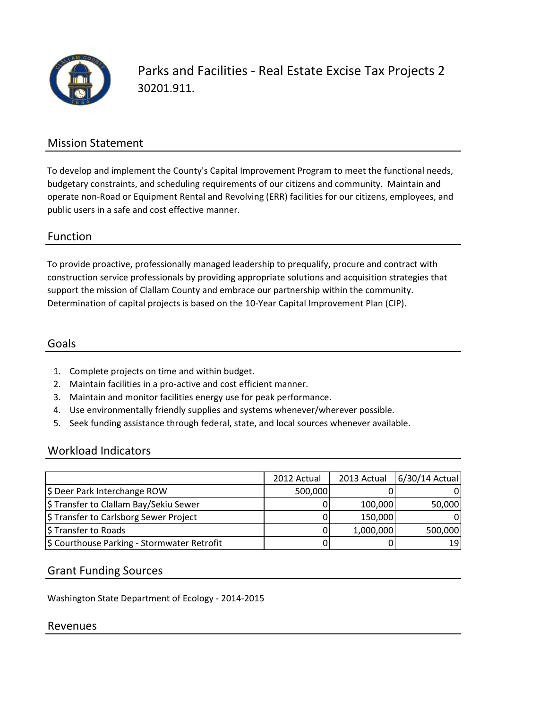

Parks and Facilities - Real Estate Excise Tax Projects 2 30201.911.

# Mission Statement

To develop and implement the County's Capital Improvement Program to meet the functional needs, budgetary constraints, and scheduling requirements of our citizens and community. Maintain and operate non-Road or Equipment Rental and Revolving (ERR) facilities for our citizens, employees, and public users in a safe and cost effective manner.

### Function

To provide proactive, professionally managed leadership to prequalify, procure and contract with construction service professionals by providing appropriate solutions and acquisition strategies that support the mission of Clallam County and embrace our partnership within the community. Determination of capital projects is based on the 10-Year Capital Improvement Plan (CIP).

### Goals

- 1. Complete projects on time and within budget.
- 2. Maintain facilities in a pro-active and cost efficient manner.
- 3. Maintain and monitor facilities energy use for peak performance.
- 4. Use environmentally friendly supplies and systems whenever/wherever possible.
- 5. Seek funding assistance through federal, state, and local sources whenever available.

## Workload Indicators

|                                             | 2012 Actual | 2013 Actual | $6/30/14$ Actual |
|---------------------------------------------|-------------|-------------|------------------|
| \$ Deer Park Interchange ROW                | 500,000     |             |                  |
| \$ Transfer to Clallam Bay/Sekiu Sewer      |             | 100,000     | 50,000           |
| \$ Transfer to Carlsborg Sewer Project      |             | 150,000     |                  |
| \$ Transfer to Roads                        |             | 1,000,000   | 500,000          |
| \$ Courthouse Parking - Stormwater Retrofit |             |             | 19               |

#### Grant Funding Sources

Washington State Department of Ecology - 2014-2015

#### Revenues